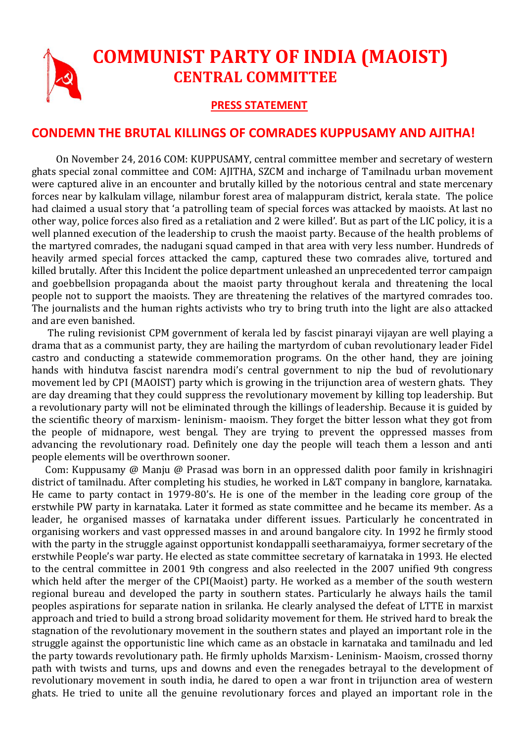## **COMMUNIST PARTY OF INDIA (MAOIST) CENTRAL COMMITTEE**

## **PRESS STATEMENT**

## **CONDEMN THE BRUTAL KILLINGS OF COMRADES KUPPUSAMY AND AJITHA!**

 On November 24, 2016 COM: KUPPUSAMY, central committee member and secretary of western ghats special zonal committee and COM: AJITHA, SZCM and incharge of Tamilnadu urban movement were captured alive in an encounter and brutally killed by the notorious central and state mercenary forces near by kalkulam village, nilambur forest area of malappuram district, kerala state. The police had claimed a usual story that 'a patrolling team of special forces was attacked by maoists. At last no other way, police forces also fired as a retaliation and 2 were killed'. But as part of the LIC policy, it is a well planned execution of the leadership to crush the maoist party. Because of the health problems of the martyred comrades, the nadugani squad camped in that area with very less number. Hundreds of heavily armed special forces attacked the camp, captured these two comrades alive, tortured and killed brutally. After this Incident the police department unleashed an unprecedented terror campaign and goebbellsion propaganda about the maoist party throughout kerala and threatening the local people not to support the maoists. They are threatening the relatives of the martyred comrades too. The journalists and the human rights activists who try to bring truth into the light are also attacked and are even banished.

 The ruling revisionist CPM government of kerala led by fascist pinarayi vijayan are well playing a drama that as a communist party, they are hailing the martyrdom of cuban revolutionary leader Fidel castro and conducting a statewide commemoration programs. On the other hand, they are joining hands with hindutva fascist narendra modi's central government to nip the bud of revolutionary movement led by CPI (MAOIST) party which is growing in the trijunction area of western ghats. They are day dreaming that they could suppress the revolutionary movement by killing top leadership. But a revolutionary party will not be eliminated through the killings of leadership. Because it is guided by the scientific theory of marxism- leninism- maoism. They forget the bitter lesson what they got from the people of midnapore, west bengal. They are trying to prevent the oppressed masses from advancing the revolutionary road. Definitely one day the people will teach them a lesson and anti people elements will be overthrown sooner.

 Com: Kuppusamy @ Manju @ Prasad was born in an oppressed dalith poor family in krishnagiri district of tamilnadu. After completing his studies, he worked in L&T company in banglore, karnataka. He came to party contact in 1979-80's. He is one of the member in the leading core group of the erstwhile PW party in karnataka. Later it formed as state committee and he became its member. As a leader, he organised masses of karnataka under different issues. Particularly he concentrated in organising workers and vast oppressed masses in and around bangalore city. In 1992 he firmly stood with the party in the struggle against opportunist kondappalli seetharamaiyya, former secretary of the erstwhile People's war party. He elected as state committee secretary of karnataka in 1993. He elected to the central committee in 2001 9th congress and also reelected in the 2007 unified 9th congress which held after the merger of the CPI(Maoist) party. He worked as a member of the south western regional bureau and developed the party in southern states. Particularly he always hails the tamil peoples aspirations for separate nation in srilanka. He clearly analysed the defeat of LTTE in marxist approach and tried to build a strong broad solidarity movement for them. He strived hard to break the stagnation of the revolutionary movement in the southern states and played an important role in the struggle against the opportunistic line which came as an obstacle in karnataka and tamilnadu and led the party towards revolutionary path. He firmly upholds Marxism- Leninism- Maoism, crossed thorny path with twists and turns, ups and downs and even the renegades betrayal to the development of revolutionary movement in south india, he dared to open a war front in trijunction area of western ghats. He tried to unite all the genuine revolutionary forces and played an important role in the